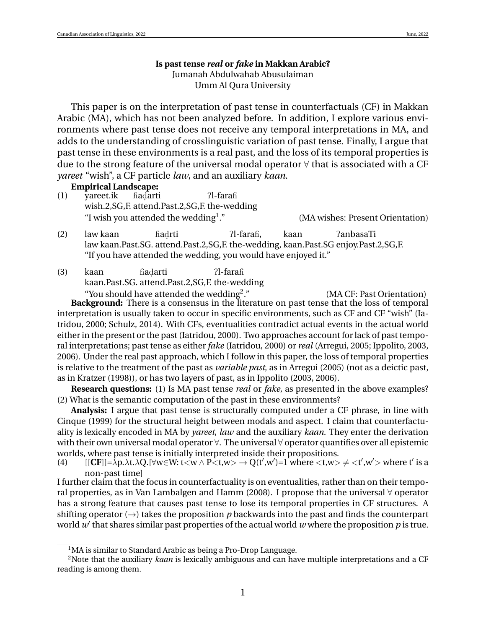## **Is past tense** *real* **or** *fake* **in Makkan Arabic?** Jumanah Abdulwahab Abusulaiman Umm Al Qura University

This paper is on the interpretation of past tense in counterfactuals (CF) in Makkan Arabic (MA), which has not been analyzed before. In addition, I explore various environments where past tense does not receive any temporal interpretations in MA, and adds to the understanding of crosslinguistic variation of past tense. Finally, I argue that past tense in these environments is a real past, and the loss of its temporal properties is due to the strong feature of the universal modal operator  $\forall$  that is associated with a CF *yareet* "wish", a CF particle *law*, and an auxiliary *kaan*.

**Empirical Landscape:**

- (1) yareet.ik wish.2, SG, F. attend. Past.2, SG, F. the-wedding Had arti ?l-farafi "I wish you attended the wedding<sup>1</sup>." (MA wishes: Present Orientation)
- (2) law kaan law kaan.Past.SG. attend.Past.2,SG,F. the-wedding, kaan.Past.SG enjoy.Past.2,SG,F. fiadrti ?l-farafi. kaan PanbasaTi "If you have attended the wedding, you would have enjoyed it."
- (3) kaan kaan.Past.SG. attend.Past.2,SG,F. the-wedding Had arti ?l-farafi "You should have attended the wedding<sup>2</sup>."

." (MA CF: Past Orientation) **Background:** There is a consensus in the literature on past tense that the loss of temporal interpretation is usually taken to occur in specific environments, such as CF and CF "wish" (Iatridou, 2000; Schulz, 2014). With CFs, eventualities contradict actual events in the actual world either in the present or the past (Iatridou, 2000). Two approaches account for lack of past temporal interpretations; past tense as either *fake* (Iatridou, 2000) or *real* (Arregui, 2005; Ippolito, 2003, 2006). Under the real past approach, which I follow in this paper, the loss of temporal properties is relative to the treatment of the past as *variable past*, as in Arregui (2005) (not as a deictic past, as in Kratzer (1998)), or has two layers of past, as in Ippolito (2003, 2006).

**Research questions:** (1) Is MA past tense *real* or *fake*, as presented in the above examples? (2) What is the semantic computation of the past in these environments?

**Analysis:** I argue that past tense is structurally computed under a CF phrase, in line with Cinque (1999) for the structural height between modals and aspect. I claim that counterfactuality is lexically encoded in MA by *yareet*, *law* and the auxiliary *kaan*. They enter the derivation with their own universal modal operator  $\forall$ . The universal  $\forall$  operator quantifies over all epistemic worlds, where past tense is initially interpreted inside their propositions.

(4)  $[[CF]] = \lambda p. \lambda t. \lambda Q. [\forall w \in W: t < w \wedge P < t, w > \rightarrow Q(t', w') = 1 \text{ where } t, w > \neq t', w' > \text{ where } t' \text{ is a }$ non-past time]

I further claim that the focus in counterfactuality is on eventualities, rather than on their temporal properties, as in Van Lambalgen and Hamm (2008). I propose that the universal ∀ operator has a strong feature that causes past tense to lose its temporal properties in CF structures. A shifting operator  $(\rightarrow)$  takes the proposition *p* backwards into the past and finds the counterpart world  $w'$  that shares similar past properties of the actual world  $w$  where the proposition  $p$  is true.

<sup>&</sup>lt;sup>1</sup>MA is similar to Standard Arabic as being a Pro-Drop Language.

<sup>&</sup>lt;sup>2</sup>Note that the auxiliary *kaan* is lexically ambiguous and can have multiple interpretations and a CF reading is among them.